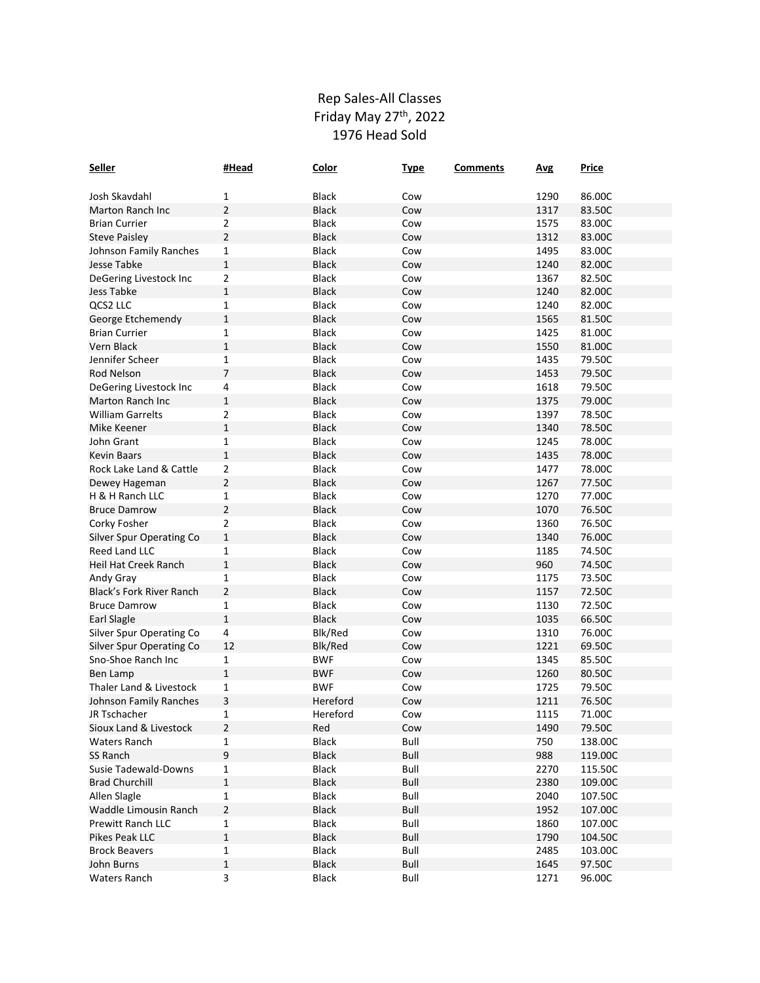## Rep Sales-All Classes Friday May 27<sup>th</sup>, 2022 1976 Head Sold

| <b>Seller</b>            | #Head          | Color        | <b>Type</b> | <b>Comments</b> | <b>Avg</b> | <b>Price</b> |
|--------------------------|----------------|--------------|-------------|-----------------|------------|--------------|
|                          |                |              |             |                 |            |              |
| Josh Skavdahl            | 1              | <b>Black</b> | Cow         |                 | 1290       | 86.00C       |
| Marton Ranch Inc         | 2              | <b>Black</b> | Cow         |                 | 1317       | 83.50C       |
| <b>Brian Currier</b>     | 2              | Black        | Cow         |                 | 1575       | 83.00C       |
| <b>Steve Paisley</b>     | $\overline{2}$ | <b>Black</b> | Cow         |                 | 1312       | 83.00C       |
| Johnson Family Ranches   | 1              | <b>Black</b> | Cow         |                 | 1495       | 83.00C       |
| Jesse Tabke              | $\mathbf{1}$   | <b>Black</b> | Cow         |                 | 1240       | 82.00C       |
| DeGering Livestock Inc   | 2              | <b>Black</b> | Cow         |                 | 1367       | 82.50C       |
| Jess Tabke               | 1              | <b>Black</b> | Cow         |                 | 1240       | 82.00C       |
| <b>QCS2 LLC</b>          | 1              | <b>Black</b> | Cow         |                 | 1240       | 82.00C       |
| George Etchemendy        | $\mathbf{1}$   | <b>Black</b> | Cow         |                 | 1565       | 81.50C       |
| <b>Brian Currier</b>     | 1              | <b>Black</b> | Cow         |                 | 1425       | 81.00C       |
| Vern Black               | $\mathbf{1}$   | <b>Black</b> | Cow         |                 | 1550       | 81.00C       |
| Jennifer Scheer          | 1              | <b>Black</b> | Cow         |                 | 1435       | 79.50C       |
| Rod Nelson               | $\overline{7}$ | <b>Black</b> | Cow         |                 | 1453       | 79.50C       |
| DeGering Livestock Inc   | 4              | <b>Black</b> | Cow         |                 | 1618       | 79.50C       |
| Marton Ranch Inc         | $\mathbf{1}$   | <b>Black</b> | Cow         |                 | 1375       | 79.00C       |
| <b>William Garrelts</b>  | 2              | <b>Black</b> | Cow         |                 | 1397       | 78.50C       |
| Mike Keener              | $\mathbf{1}$   | <b>Black</b> | Cow         |                 | 1340       | 78.50C       |
| John Grant               | 1              | <b>Black</b> | Cow         |                 | 1245       | 78.00C       |
| <b>Kevin Baars</b>       | 1              | <b>Black</b> | Cow         |                 | 1435       | 78.00C       |
| Rock Lake Land & Cattle  | 2              | <b>Black</b> | Cow         |                 | 1477       | 78.00C       |
| Dewey Hageman            | $\overline{2}$ | <b>Black</b> | Cow         |                 | 1267       | 77.50C       |
| H & H Ranch LLC          | 1              | <b>Black</b> | Cow         |                 | 1270       | 77.00C       |
| <b>Bruce Damrow</b>      | $\overline{2}$ | <b>Black</b> | Cow         |                 | 1070       | 76.50C       |
| Corky Fosher             | 2              | <b>Black</b> | Cow         |                 | 1360       | 76.50C       |
| Silver Spur Operating Co | $\mathbf{1}$   | <b>Black</b> | Cow         |                 | 1340       | 76.00C       |
| <b>Reed Land LLC</b>     | 1              | <b>Black</b> | Cow         |                 | 1185       | 74.50C       |
| Heil Hat Creek Ranch     | $\mathbf 1$    | <b>Black</b> | Cow         |                 | 960        | 74.50C       |
| Andy Gray                | 1              | <b>Black</b> | Cow         |                 | 1175       | 73.50C       |
| Black's Fork River Ranch | $\overline{2}$ | <b>Black</b> | Cow         |                 | 1157       | 72.50C       |
| <b>Bruce Damrow</b>      | 1              | Black        | Cow         |                 | 1130       | 72.50C       |
| Earl Slagle              | $\mathbf{1}$   | <b>Black</b> | Cow         |                 | 1035       | 66.50C       |
| Silver Spur Operating Co | 4              | Blk/Red      | Cow         |                 | 1310       | 76.00C       |
| Silver Spur Operating Co | 12             | Blk/Red      | Cow         |                 | 1221       | 69.50C       |
| Sno-Shoe Ranch Inc       | 1              | <b>BWF</b>   | Cow         |                 | 1345       | 85.50C       |
| Ben Lamp                 | $\mathbf{1}$   | <b>BWF</b>   | Cow         |                 | 1260       | 80.50C       |
| Thaler Land & Livestock  | 1              | <b>BWF</b>   | Cow         |                 | 1725       | 79.50C       |
| Johnson Family Ranches   | 3              | Hereford     | Cow         |                 | 1211       | 76.50C       |
| JR Tschacher             | 1              | Hereford     | Cow         |                 | 1115       | 71.00C       |
| Sioux Land & Livestock   | 2              | Red          | Cow         |                 | 1490       | 79.50C       |
| <b>Waters Ranch</b>      | 1              | <b>Black</b> | Bull        |                 | 750        | 138.00C      |
| SS Ranch                 | 9              | <b>Black</b> | Bull        |                 | 988        | 119.00C      |
| Susie Tadewald-Downs     | $\mathbf{1}$   | Black        | Bull        |                 | 2270       | 115.50C      |
| <b>Brad Churchill</b>    | $\mathbf 1$    | <b>Black</b> | Bull        |                 | 2380       | 109.00C      |
| Allen Slagle             | $\mathbf{1}$   | Black        | Bull        |                 | 2040       | 107.50C      |
| Waddle Limousin Ranch    | 2              | Black        | Bull        |                 | 1952       | 107.00C      |
| Prewitt Ranch LLC        | $\mathbf{1}$   | Black        | Bull        |                 | 1860       | 107.00C      |
| Pikes Peak LLC           | $\mathbf 1$    | <b>Black</b> | Bull        |                 | 1790       | 104.50C      |
| <b>Brock Beavers</b>     | $\mathbf{1}$   | Black        | Bull        |                 | 2485       | 103.00C      |
| John Burns               | $\mathbf 1$    | Black        | Bull        |                 | 1645       | 97.50C       |
| <b>Waters Ranch</b>      | 3              | <b>Black</b> | Bull        |                 | 1271       | 96.00C       |